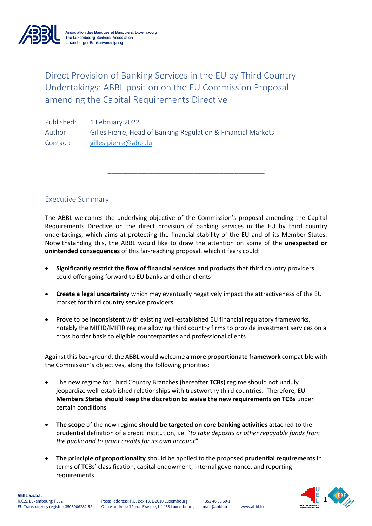

Direct Provision of Banking Services in the EU by Third Country Undertakings: ABBL position on the EU Commission Proposal amending the Capital Requirements Directive

Published: 1 February 2022 Author: Gilles Pierre, Head of Banking Regulation & Financial Markets Contact: gilles.pierre@abbl.lu

Executive Summary

The ABBL welcomes the underlying objective of the Commission's proposal amending the Capital Requirements Directive on the direct provision of banking services in the EU by third country undertakings, which aims at protecting the financial stability of the EU and of its Member States. Notwithstanding this, the ABBL would like to draw the attention on some of the **unexpected or unintended consequences** of this far-reaching proposal, which it fears could:

\_\_\_\_\_\_\_\_\_\_\_\_\_\_\_\_\_\_\_\_\_\_\_\_\_\_\_\_\_\_\_\_\_\_\_\_\_\_\_\_\_\_

- **Significantly restrict the flow of financial services and products** that third country providers could offer going forward to EU banks and other clients
- **Create a legal uncertainty** which may eventually negatively impact the attractiveness of the EU market for third country service providers
- Prove to be **inconsistent** with existing well-established EU financial regulatory frameworks, notably the MIFID/MIFIR regime allowing third country firms to provide investment services on a cross border basis to eligible counterparties and professional clients.

Against this background, the ABBL would welcome **a more proportionate framework** compatible with the Commission's objectives, along the following priorities:

- The new regime for Third Country Branches (hereafter **TCBs**) regime should not unduly jeopardize well-established relationships with trustworthy third countries. Therefore, **EU Members States should keep the discretion to waive the new requirements on TCBs** under certain conditions
- **The scope** of the new regime **should be targeted on core banking activities** attached to the prudential definition of a credit institution, i.e. "*to take deposits or other repayable funds from the public and to grant credits for its own account"*
- **The principle of proportionality** should be applied to the proposed **prudential requirements** in terms of TCBs' classification, capital endowment, internal governance, and reporting requirements.

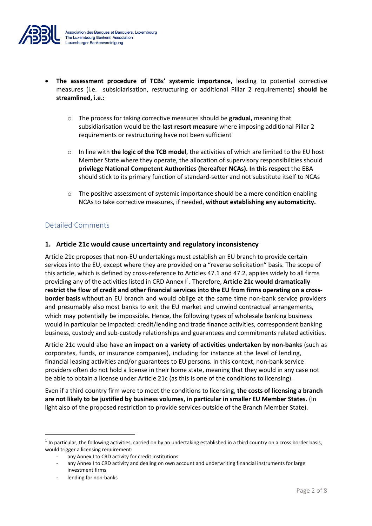

- **The assessment procedure of TCBs' systemic importance,** leading to potential corrective measures (i.e. subsidiarisation, restructuring or additional Pillar 2 requirements) **should be streamlined, i.e.:**
	- o The process for taking corrective measures should be **gradual,** meaning that subsidiarisation would be the **last resort measure** where imposing additional Pillar 2 requirements or restructuring have not been sufficient
	- o In line with **the logic of the TCB model**, the activities of which are limited to the EU host Member State where they operate, the allocation of supervisory responsibilities should **privilege National Competent Authorities (hereafter NCAs). In this respect** the EBA should stick to its primary function of standard-setter and not substitute itself to NCAs
	- $\circ$  The positive assessment of systemic importance should be a mere condition enabling NCAs to take corrective measures, if needed, **without establishing any automaticity.**

# Detailed Comments

# **1. Article 21c would cause uncertainty and regulatory inconsistency**

Article 21c proposes that non-EU undertakings must establish an EU branch to provide certain services into the EU, except where they are provided on a "reverse solicitation" basis. The scope of this article, which is defined by cross-reference to Articles 47.1 and 47.2, applies widely to all firms providing any of the activities listed in CRD Annex I<sup>1</sup>. Therefore, Article 21c would dramatically **restrict the flow of credit and other financial services into the EU from firms operating on a crossborder basis** without an EU branch and would oblige at the same time non-bank service providers and presumably also most banks to exit the EU market and unwind contractual arrangements, which may potentially be impossible*.* Hence, the following types of wholesale banking business would in particular be impacted: credit/lending and trade finance activities, correspondent banking business, custody and sub-custody relationships and guarantees and commitments related activities.

Article 21c would also have **an impact on a variety of activities undertaken by non-banks** (such as corporates, funds, or insurance companies), including for instance at the level of lending, financial leasing activities and/or guarantees to EU persons. In this context, non-bank service providers often do not hold a license in their home state, meaning that they would in any case not be able to obtain a license under Article 21c (as this is one of the conditions to licensing).

Even if a third country firm were to meet the conditions to licensing, **the costs of licensing a branch are not likely to be justified by business volumes, in particular in smaller EU Member States.** (In light also of the proposed restriction to provide services outside of the Branch Member State).

 $1$  In particular, the following activities, carried on by an undertaking established in a third country on a cross border basis, would trigger a licensing requirement:

any Annex I to CRD activity for credit institutions

any Annex I to CRD activity and dealing on own account and underwriting financial instruments for large investment firms

lending for non-banks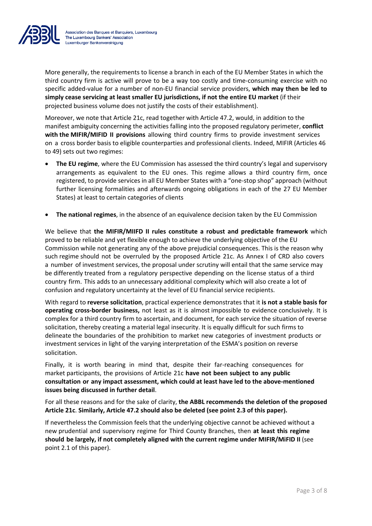

More generally, the requirements to license a branch in each of the EU Member States in which the third country firm is active will prove to be a way too costly and time-consuming exercise with no specific added-value for a number of non-EU financial service providers, **which may then be led to simply cease servicing at least smaller EU jurisdictions, if not the entire EU market** (if their projected business volume does not justify the costs of their establishment).

Moreover, we note that Article 21c, read together with Article 47.2, would, in addition to the manifest ambiguity concerning the activities falling into the proposed regulatory perimeter, **conflict with the MIFIR/MIFID II provisions** allowing third country firms to provide investment services on a cross border basis to eligible counterparties and professional clients. Indeed, MIFIR (Articles 46 to 49) sets out two regimes:

- **The EU regime**, where the EU Commission has assessed the third country's legal and supervisory arrangements as equivalent to the EU ones. This regime allows a third country firm, once registered, to provide services in all EU Member States with a "one-stop shop" approach (without further licensing formalities and afterwards ongoing obligations in each of the 27 EU Member States) at least to certain categories of clients
- **The national regimes**, in the absence of an equivalence decision taken by the EU Commission

We believe that **the MIFIR/MIIFD II rules constitute a robust and predictable framework** which proved to be reliable and yet flexible enough to achieve the underlying objective of the EU Commission while not generating any of the above prejudicial consequences. This is the reason why such regime should not be overruled by the proposed Article 21c. As Annex I of CRD also covers a number of investment services, the proposal under scrutiny will entail that the same service may be differently treated from a regulatory perspective depending on the license status of a third country firm. This adds to an unnecessary additional complexity which will also create a lot of confusion and regulatory uncertainty at the level of EU financial service recipients.

With regard to **reverse solicitation**, practical experience demonstrates that it **is not a stable basis for operating cross-border business,** not least as it is almost impossible to evidence conclusively. It is complex for a third country firm to ascertain, and document, for each service the situation of reverse solicitation, thereby creating a material legal insecurity. It is equally difficult for such firms to delineate the boundaries of the prohibition to market new categories of investment products or investment services in light of the varying interpretation of the ESMA's position on reverse solicitation.

Finally, it is worth bearing in mind that, despite their far-reaching consequences for market participants, the provisions of Article 21c **have not been subject to any public consultation or any impact assessment, which could at least have led to the above-mentioned issues being discussed in further detail**.

For all these reasons and for the sake of clarity, **the ABBL recommends the deletion of the proposed Article 21c**. **Similarly, Article 47.2 should also be deleted (see point 2.3 of this paper).** 

If nevertheless the Commission feels that the underlying objective cannot be achieved without a new prudential and supervisory regime for Third County Branches, then **at least this regime should be largely, if not completely aligned with the current regime under MIFIR/MiFID II** (see point 2.1 of this paper).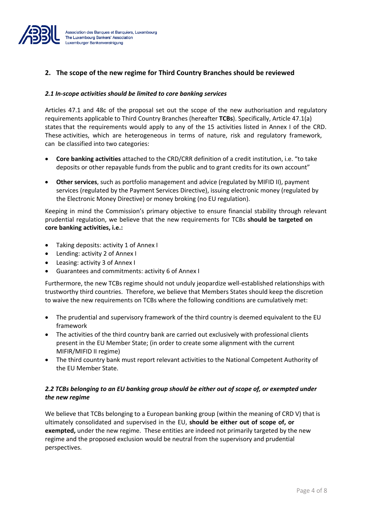

# **2. The scope of the new regime for Third Country Branches should be reviewed**

#### *2.1 In-scope activities should be limited to core banking services*

Articles 47.1 and 48c of the proposal set out the scope of the new authorisation and regulatory requirements applicable to Third Country Branches (hereafter **TCBs**). Specifically, Article 47.1(a) states that the requirements would apply to any of the 15 activities listed in Annex I of the CRD. These activities, which are heterogeneous in terms of nature, risk and regulatory framework, can be classified into two categories:

- **Core banking activities** attached to the CRD/CRR definition of a credit institution, i.e. "to take deposits or other repayable funds from the public and to grant credits for its own account"
- **Other services**, such as portfolio management and advice (regulated by MIFID II), payment services (regulated by the Payment Services Directive), issuing electronic money (regulated by the Electronic Money Directive) or money broking (no EU regulation).

Keeping in mind the Commission's primary objective to ensure financial stability through relevant prudential regulation, we believe that the new requirements for TCBs **should be targeted on core banking activities, i.e.:**

- Taking deposits: activity 1 of Annex I
- Lending: activity 2 of Annex I
- Leasing: activity 3 of Annex I
- Guarantees and commitments: activity 6 of Annex I

Furthermore, the new TCBs regime should not unduly jeopardize well-established relationships with trustworthy third countries. Therefore, we believe that Members States should keep the discretion to waive the new requirements on TCBs where the following conditions are cumulatively met:

- The prudential and supervisory framework of the third country is deemed equivalent to the EU framework
- The activities of the third country bank are carried out exclusively with professional clients present in the EU Member State; (in order to create some alignment with the current MIFIR/MIFID II regime)
- The third country bank must report relevant activities to the National Competent Authority of the EU Member State.

### *2.2 TCBs belonging to an EU banking group should be either out of scope of, or exempted under the new regime*

We believe that TCBs belonging to a European banking group (within the meaning of CRD V) that is ultimately consolidated and supervised in the EU, **should be either out of scope of, or exempted,** under the new regime. These entities are indeed not primarily targeted by the new regime and the proposed exclusion would be neutral from the supervisory and prudential perspectives.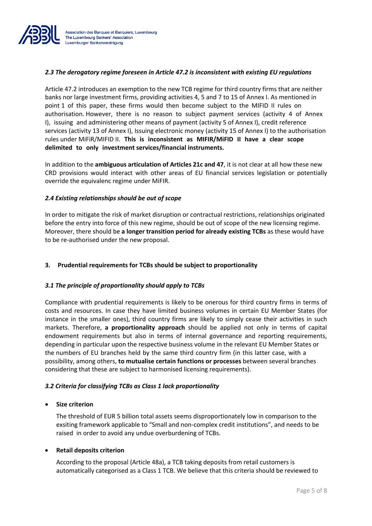

### *2.3 The derogatory regime foreseen in Article 47.2 is inconsistent with existing EU regulations*

Article 47.2 introduces an exemption to the new TCB regime for third country firms that are neither banks nor large investment firms, providing activities 4, 5 and 7 to 15 of Annex I. As mentioned in point 1 of this paper, these firms would then become subject to the MIFID II rules on authorisation. However, there is no reason to subject payment services (activity 4 of Annex I), issuing and administering other means of payment (activity 5 of Annex I), credit reference services (activity 13 of Annex I), Issuing electronic money (activity 15 of Annex I) to the authorisation rules under MiFiR/MIFID II. **This is inconsistent as MIFIR/MiFID II have a clear scope delimited to only investment services/financial instruments.**

In addition to the **ambiguous articulation of Articles 21c and 47**, it is not clear at all how these new CRD provisions would interact with other areas of EU financial services legislation or potentially override the equivalenc regime under MiFIR.

### *2.4 Existing relationships should be out of scope*

In order to mitigate the risk of market disruption or contractual restrictions, relationships originated before the entry into force of this new regime, should be out of scope of the new licensing regime. Moreover, there should be **a longer transition period for already existing TCBs** as these would have to be re-authorised under the new proposal.

# **3. Prudential requirements for TCBs should be subject to proportionality**

### *3.1 The principle of proportionality should apply to TCBs*

Compliance with prudential requirements is likely to be onerous for third country firms in terms of costs and resources. In case they have limited business volumes in certain EU Member States (for instance in the smaller ones), third country firms are likely to simply cease their activities in such markets. Therefore, **a proportionality approach** should be applied not only in terms of capital endowment requirements but also in terms of internal governance and reporting requirements, depending in particular upon the respective business volume in the relevant EU Member States or the numbers of EU branches held by the same third country firm (in this latter case, with a possibility, among others, **to mutualise certain functions or processes** between several branches considering that these are subject to harmonised licensing requirements).

### *3.2 Criteria for classifying TCBs as Class 1 lack proportionality*

### • **Size criterion**

The threshold of EUR 5 billion total assets seems disproportionately low in comparison to the exsiting framework applicable to "Small and non-complex credit institutions", and needs to be raised in order to avoid any undue overburdening of TCBs.

### • **Retail deposits criterion**

According to the proposal (Article 48a), a TCB taking deposits from retail customers is automatically categorised as a Class 1 TCB. We believe that this criteria should be reviewed to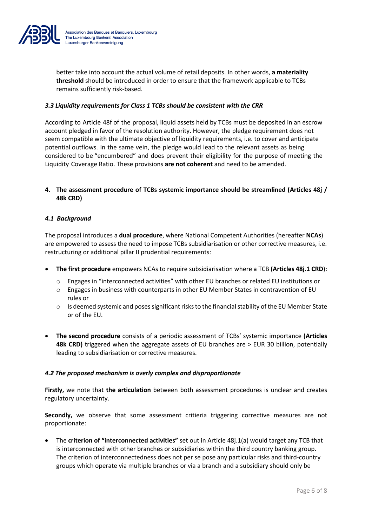

better take into account the actual volume of retail deposits. In other words, **a materiality threshold** should be introduced in order to ensure that the framework applicable to TCBs remains sufficiently risk-based.

#### *3.3 Liquidity requirements for Class 1 TCBs should be consistent with the CRR*

According to Article 48f of the proposal, liquid assets held by TCBs must be deposited in an escrow account pledged in favor of the resolution authority. However, the pledge requirement does not seem compatible with the ultimate objective of liquidity requirements, i.e. to cover and anticipate potential outflows. In the same vein, the pledge would lead to the relevant assets as being considered to be "encumbered" and does prevent their eligibility for the purpose of meeting the Liquidity Coverage Ratio. These provisions **are not coherent** and need to be amended.

### **4. The assessment procedure of TCBs systemic importance should be streamlined (Articles 48j / 48k CRD)**

#### *4.1 Background*

The proposal introduces a **dual procedure**, where National Competent Authorities (hereafter **NCAs**) are empowered to assess the need to impose TCBs subsidiarisation or other corrective measures, i.e. restructuring or additional pillar II prudential requirements:

- **The first procedure** empowers NCAs to require subsidiarisation where a TCB **(Articles 48j.1 CRD**):
	- o Engages in "interconnected activities" with other EU branches or related EU institutions or
	- o Engages in business with counterparts in other EU Member States in contravention of EU rules or
	- $\circ$  Is deemed systemic and poses significant risks to the financial stability of the EU Member State or of the EU.
- **The second procedure** consists of a periodic assessment of TCBs' systemic importance **(Articles 48k CRD)** triggered when the aggregate assets of EU branches are > EUR 30 billion, potentially leading to subsidiarisation or corrective measures.

#### *4.2 The proposed mechanism is overly complex and disproportionate*

**Firstly,** we note that **the articulation** between both assessment procedures is unclear and creates regulatory uncertainty.

**Secondly,** we observe that some assessment critieria triggering corrective measures are not proportionate:

• The **criterion of "interconnected activities"** set out in Article 48j.1(a) would target any TCB that is interconnected with other branches or subsidiaries within the third country banking group. The criterion of interconnectedness does not per se pose any particular risks and third-country groups which operate via multiple branches or via a branch and a subsidiary should only be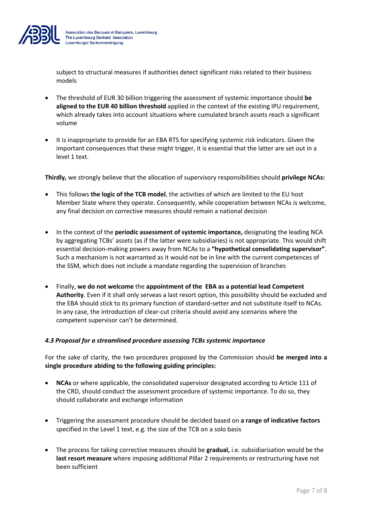

subject to structural measures if authorities detect significant risks related to their business models

- The threshold of EUR 30 billion triggering the assessment of systemic importance should **be aligned to the EUR 40 billion threshold** applied in the context of the existing IPU requirement, which already takes into account situations where cumulated branch assets reach a significant volume
- It is inappropriate to provide for an EBA RTS for specifying systemic risk indicators. Given the important consequences that these might trigger, it is essential that the latter are set out in a level 1 text.

**Thirdly,** we strongly believe that the allocation of supervisory responsibilities should **privilege NCAs:**

- This follows **the logic of the TCB model**, the activities of which are limited to the EU host Member State where they operate. Consequently, while cooperation between NCAs is welcome, any final decision on corrective measures should remain a national decision
- In the context of the **periodic assessment of systemic importance,** designating the leading NCA by aggregating TCBs' assets (as if the latter were subsidiaries) is not appropriate. This would shift essential decision-making powers away from NCAs to a **"hypothetical consolidating supervisor"**. Such a mechanism is not warranted as it would not be in line with the current competences of the SSM, which does not include a mandate regarding the supervision of branches
- Finally, **we do not welcome** the **appointment of the EBA as a potential lead Competent Authority**. Even if it shall only serveas a last resort option, this possibility should be excluded and the EBA should stick to its primary function of standard-setter and not substitute itself to NCAs. In any case, the introduction of clear-cut criteria should avoid any scenarios where the competent supervisor can't be determined.

# *4.3 Proposal for a streamlined procedure assessing TCBs systemic importance*

For the sake of clarity, the two procedures proposed by the Commission should **be merged into a single procedure abiding to the following guiding principles:**

- **NCAs** or where applicable, the consolidated supervisor designated according to Article 111 of the CRD, should conduct the assessment procedure of systemic importance. To do so, they should collaborate and exchange information
- Triggering the assessment procedure should be decided based on **a range of indicative factors** specified in the Level 1 text, e.g. the size of the TCB on a solo basis
- The process for taking corrective measures should be **gradual,** i.e. subsidiarisation would be the **last resort measure** where imposing additional Pillar 2 requirements or restructuring have not been sufficient